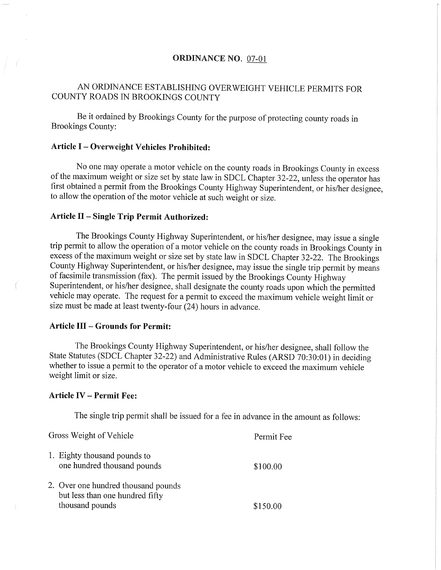# ORDINANCE NO. 07-01

# AN ORDINANCE ESTABLISHING OVERWEIGHT VEHICLE PERMITS FOR COUNTY ROADS IN BROOKINGS COUNTY

Be it ordained by Brookings County for the purpose of protecting county roads in Brookings County:

# Article I - Overweight Vehicles Prohibited:

No one may operate a motor vehicle on the county roads in Brookings County in excess of the maximum weight or size set by state law in SDCL Chapter 32-22, unless the operator has first obtained a permit from the Brookings County Highway Superintendent, or his/her designee, to allow the operation of the motor vehicle at such weight or size.

# Article II - Single Trip Permit Authorized:

The Brookings County Highway Superintendent, or his/her designee, may issue a single trip permit to allow the operation of a motor vehicle on the county roads in Brookings County in excess of the maximum weight or size set by state law in SDCL Chapter 32-22. The Brookings County Highway Superintendent, or his/her designee, may issue the single trip permit by means of facsimile transmission (fax). The permit issued by the Brookings County Highway Superintendent, or his/her designee, shall designate the county roads upon which the permitted vehicle may operate. The request for a permit to exceed the maximum vehicle weight limit or size must be made at least twenty-four (24) hours in advance.

# Article III - Grounds for Permit:

The Brookings County Highway Superintendent, or his/her designee, shall follow the State Statutes (SDCL Chapter 32-22) and Administrative Rules (ARSD 70:30:01) in deciding whether to issue a permit to the operator of a motor vehicle to exceed the maximum vehicle weight limit or size.

## Article IV - Permit Fee:

The single trip permit shall be issued for a fee in advance in the amount as follows:

Gross Weight of Vehicle Permit Fee 1. Eighty thousand pounds to one hundred thousand pounds \$100.00 2. Over one hundred thousand pounds but less than one hundred fifty thousand pounds \$150.00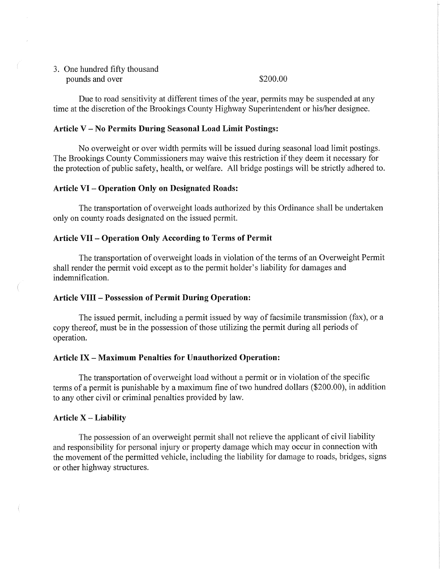3. One hundred fifty thousand pounds and over \$200.00

Due to road sensitivity at different times of the year, permits may be suspended at any time at the discretion of the Brookings County Highway Superintendent or his/her designee.

### Article V - No Permits During Seasonal Load Limit Postings:

No overweight or over width permits will be issued during seasonal load limit postings. The Brookings County Commissioners may waive this restriction if they deem it necessary for the protection of public safety, health, or welfare. All bridge postings will be strictly adhered to.

# Article VI - Operation Only on Designated Roads:

The transportation of overweight loads authorized by this Ordinance shall be undertaken only on county roads designated on the issued permit.

## Article VII - Operation Only According to Terms of Permit

The transportation of overweight loads in violation of the terms of an Overweight Permit shall render the permit void except as to the permit holder's liability for damages and indemnification.

### Article VIII - Possession of Permit During Operation:

The issued permit, including a permit issued by way of facsimile transmission (fax), or a copy thereof, must be in the possession of those utilizing the permit during all periods of operation.

#### Article IX - Maximum Penalties for Unauthorized Operation:

The transportation of overweight load without a permit or in violation of the specific terms of a permit is punishable by a maximum fine of two hundred dollars (\$200.00), in addition to any other civil or criminal penalties provided by law.

#### Article  $X -$ Liability

The possession of an overweight permit shall not relieve the applicant of civil liability and responsibility for personal injury or property damage which may occur in connection with the movement of the permitted vehicle, including the liability for damage to roads, bridges, signs or other highway structures.